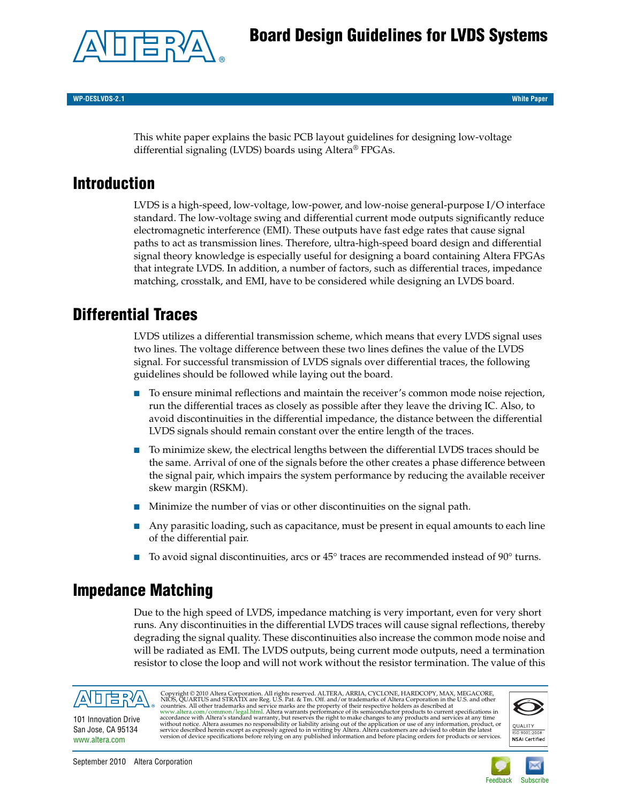# **Board Design Guidelines for LVDS Systems**



**WP-DESLVDS-2.1 White Paper**

This white paper explains the basic PCB layout guidelines for designing low-voltage differential signaling (LVDS) boards using Altera® FPGAs.

## **Introduction**

LVDS is a high-speed, low-voltage, low-power, and low-noise general-purpose I/O interface standard. The low-voltage swing and differential current mode outputs significantly reduce electromagnetic interference (EMI). These outputs have fast edge rates that cause signal paths to act as transmission lines. Therefore, ultra-high-speed board design and differential signal theory knowledge is especially useful for designing a board containing Altera FPGAs that integrate LVDS. In addition, a number of factors, such as differential traces, impedance matching, crosstalk, and EMI, have to be considered while designing an LVDS board.

# **Differential Traces**

LVDS utilizes a differential transmission scheme, which means that every LVDS signal uses two lines. The voltage difference between these two lines defines the value of the LVDS signal. For successful transmission of LVDS signals over differential traces, the following guidelines should be followed while laying out the board.

- To ensure minimal reflections and maintain the receiver's common mode noise rejection, run the differential traces as closely as possible after they leave the driving IC. Also, to avoid discontinuities in the differential impedance, the distance between the differential LVDS signals should remain constant over the entire length of the traces.
- To minimize skew, the electrical lengths between the differential LVDS traces should be the same. Arrival of one of the signals before the other creates a phase difference between the signal pair, which impairs the system performance by reducing the available receiver skew margin (RSKM).
- Minimize the number of vias or other discontinuities on the signal path.
- Any parasitic loading, such as capacitance, must be present in equal amounts to each line of the differential pair.
- To avoid signal discontinuities, arcs or  $45^{\circ}$  traces are recommended instead of  $90^{\circ}$  turns.

## <span id="page-0-0"></span>**Impedance Matching**

Due to the high speed of LVDS, impedance matching is very important, even for very short runs. Any discontinuities in the differential LVDS traces will cause signal reflections, thereby degrading the signal quality. These discontinuities also increase the common mode noise and will be radiated as EMI. The LVDS outputs, being current mode outputs, need a termination resistor to close the loop and will not work without the resistor termination. The value of this



101 Innovation Drive San Jose, CA 95134 [www.altera.com](http://www.altera.com)

Copyright © 2010 Altera Corporation. All rights reserved. ALTERA, ARRIA, CYCLONE, HARDCOPY, MAX, MEGACORE,<br>NIOS, QUARTUS and STRATIX are Reg. U.S. Pat. & Tm. Off. and/or trademarks of Altera Corporation in the U.S. and oth



150 9001:2008 **NSAI** Certified

September 2010 Altera Corporation

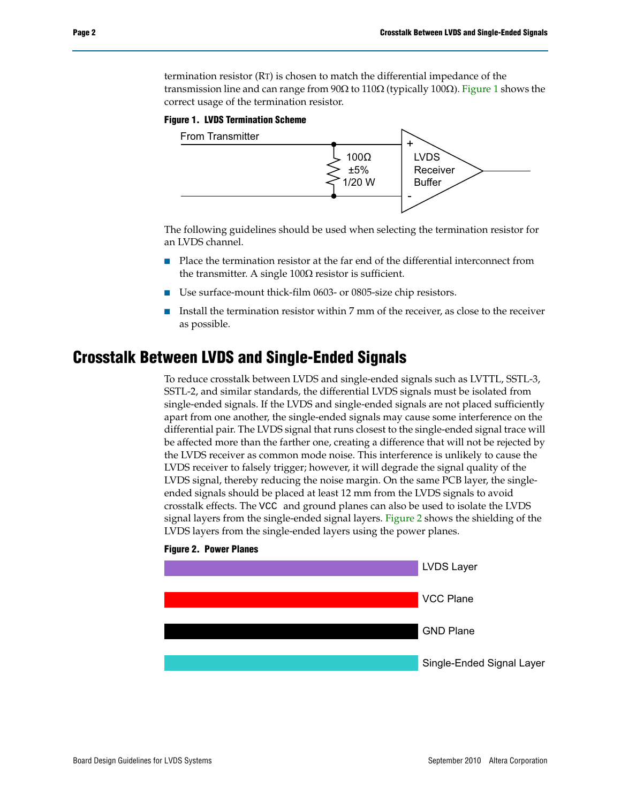termination resistor (RT) is chosen to match the differential impedance of the transmission line and can range from 90 $\Omega$  to 110 $\Omega$  (typically 100 $\Omega$ ). [Figure 1](#page-1-0) shows the correct usage of the termination resistor.

#### <span id="page-1-0"></span>**Figure 1. LVDS Termination Scheme**



The following guidelines should be used when selecting the termination resistor for an LVDS channel.

- Place the termination resistor at the far end of the differential interconnect from the transmitter. A single  $100\Omega$  resistor is sufficient.
- Use surface-mount thick-film 0603- or 0805-size chip resistors.
- Install the termination resistor within 7 mm of the receiver, as close to the receiver as possible.

### **Crosstalk Between LVDS and Single-Ended Signals**

To reduce crosstalk between LVDS and single-ended signals such as LVTTL, SSTL-3, SSTL-2, and similar standards, the differential LVDS signals must be isolated from single-ended signals. If the LVDS and single-ended signals are not placed sufficiently apart from one another, the single-ended signals may cause some interference on the differential pair. The LVDS signal that runs closest to the single-ended signal trace will be affected more than the farther one, creating a difference that will not be rejected by the LVDS receiver as common mode noise. This interference is unlikely to cause the LVDS receiver to falsely trigger; however, it will degrade the signal quality of the LVDS signal, thereby reducing the noise margin. On the same PCB layer, the singleended signals should be placed at least 12 mm from the LVDS signals to avoid crosstalk effects. The VCC and ground planes can also be used to isolate the LVDS signal layers from the single-ended signal layers. [Figure 2](#page-1-1) shows the shielding of the LVDS layers from the single-ended layers using the power planes.



#### <span id="page-1-1"></span>**Figure 2. Power Planes**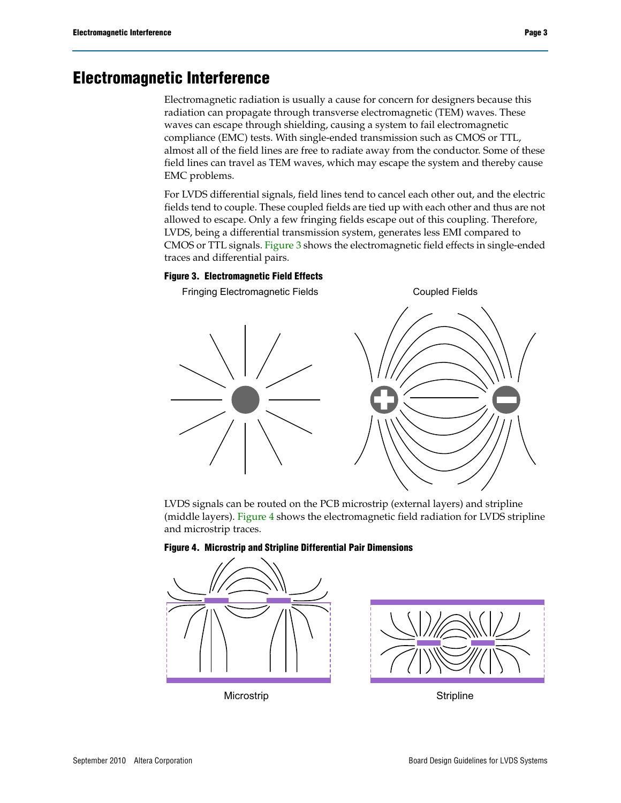## **Electromagnetic Interference**

Electromagnetic radiation is usually a cause for concern for designers because this radiation can propagate through transverse electromagnetic (TEM) waves. These waves can escape through shielding, causing a system to fail electromagnetic compliance (EMC) tests. With single-ended transmission such as CMOS or TTL, almost all of the field lines are free to radiate away from the conductor. Some of these field lines can travel as TEM waves, which may escape the system and thereby cause EMC problems.

For LVDS differential signals, field lines tend to cancel each other out, and the electric fields tend to couple. These coupled fields are tied up with each other and thus are not allowed to escape. Only a few fringing fields escape out of this coupling. Therefore, LVDS, being a differential transmission system, generates less EMI compared to CMOS or TTL signals. [Figure 3](#page-2-0) shows the electromagnetic field effects in single-ended traces and differential pairs.

#### <span id="page-2-0"></span>**Figure 3. Electromagnetic Field Effects**

Fringing Electromagnetic Fields Coupled Fields

LVDS signals can be routed on the PCB microstrip (external layers) and stripline (middle layers). [Figure 4](#page-2-1) shows the electromagnetic field radiation for LVDS stripline and microstrip traces.



#### <span id="page-2-1"></span>**Figure 4. Microstrip and Stripline Differential Pair Dimensions**



Microstrip **Stripline**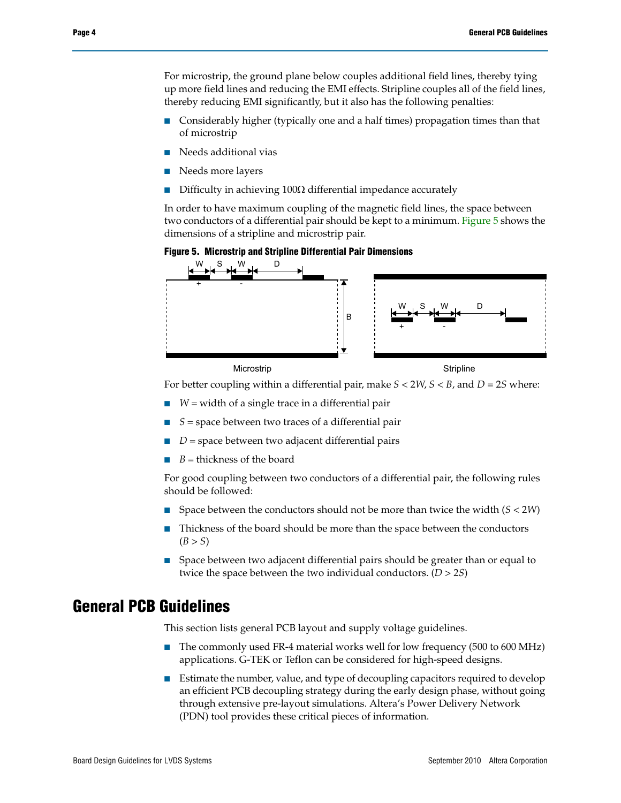For microstrip, the ground plane below couples additional field lines, thereby tying up more field lines and reducing the EMI effects. Stripline couples all of the field lines, thereby reducing EMI significantly, but it also has the following penalties:

- Considerably higher (typically one and a half times) propagation times than that of microstrip
- Needs additional vias
- Needs more layers
- Difficulty in achieving  $100\Omega$  differential impedance accurately

In order to have maximum coupling of the magnetic field lines, the space between two conductors of a differential pair should be kept to a minimum. [Figure 5](#page-3-0) shows the dimensions of a stripline and microstrip pair.

<span id="page-3-0"></span>



For better coupling within a differential pair, make *S* < 2*W*, *S* < *B*, and *D* = 2*S* where:

- $W =$  W  $=$  width of a single trace in a differential pair
- $S =$  space between two traces of a differential pair
- $D$  = space between two adjacent differential pairs
- $B =$  thickness of the board

For good coupling between two conductors of a differential pair, the following rules should be followed:

- Space between the conductors should not be more than twice the width (*S* < 2*W*)
- Thickness of the board should be more than the space between the conductors  $(B > S)$
- Space between two adjacent differential pairs should be greater than or equal to twice the space between the two individual conductors. (*D* > 2*S*)

### <span id="page-3-1"></span>**General PCB Guidelines**

This section lists general PCB layout and supply voltage guidelines.

- The commonly used FR-4 material works well for low frequency (500 to 600 MHz) applications. G-TEK or Teflon can be considered for high-speed designs.
- Estimate the number, value, and type of decoupling capacitors required to develop an efficient PCB decoupling strategy during the early design phase, without going through extensive pre-layout simulations. Altera's Power Delivery Network (PDN) tool provides these critical pieces of information.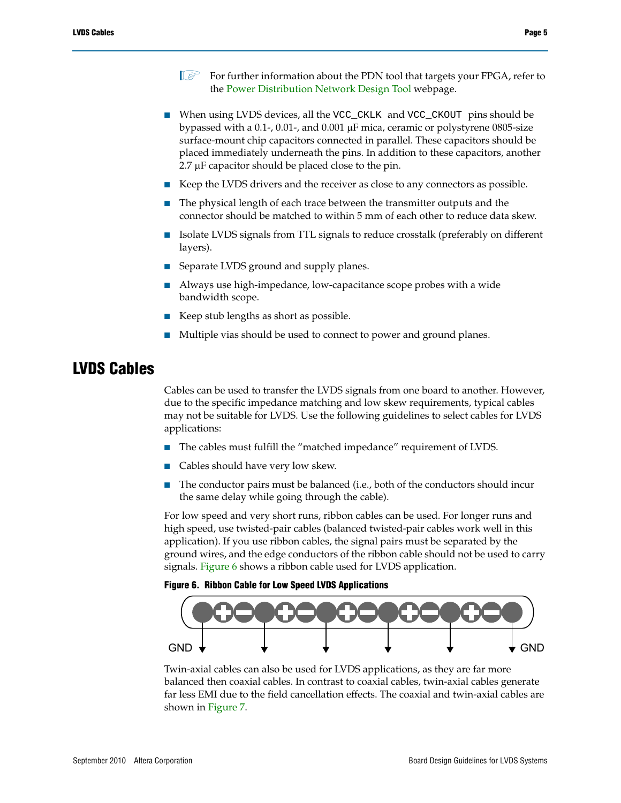- $\mathbb{I}$  For further information about the PDN tool that targets your FPGA, refer to the [Power Distribution Network Design Tool](http://www.altera.com/technology/signal/power-distribution-network/sgl-pdn.html) webpage.
- When using LVDS devices, all the VCC\_CKLK and VCC\_CKOUT pins should be bypassed with a 0.1-, 0.01-, and 0.001  $\mu$ F mica, ceramic or polystyrene 0805-size surface-mount chip capacitors connected in parallel. These capacitors should be placed immediately underneath the pins. In addition to these capacitors, another  $2.7 \mu$ F capacitor should be placed close to the pin.
- Keep the LVDS drivers and the receiver as close to any connectors as possible.
- The physical length of each trace between the transmitter outputs and the connector should be matched to within 5 mm of each other to reduce data skew.
- Isolate LVDS signals from TTL signals to reduce crosstalk (preferably on different layers).
- Separate LVDS ground and supply planes.
- Always use high-impedance, low-capacitance scope probes with a wide bandwidth scope.
- Keep stub lengths as short as possible.
- Multiple vias should be used to connect to power and ground planes.

### **LVDS Cables**

Cables can be used to transfer the LVDS signals from one board to another. However, due to the specific impedance matching and low skew requirements, typical cables may not be suitable for LVDS. Use the following guidelines to select cables for LVDS applications:

- The cables must fulfill the "matched impedance" requirement of LVDS.
- Cables should have very low skew.
- The conductor pairs must be balanced (i.e., both of the conductors should incur the same delay while going through the cable).

For low speed and very short runs, ribbon cables can be used. For longer runs and high speed, use twisted-pair cables (balanced twisted-pair cables work well in this application). If you use ribbon cables, the signal pairs must be separated by the ground wires, and the edge conductors of the ribbon cable should not be used to carry signals. [Figure 6](#page-4-0) shows a ribbon cable used for LVDS application.

#### <span id="page-4-0"></span>**Figure 6. Ribbon Cable for Low Speed LVDS Applications**



Twin-axial cables can also be used for LVDS applications, as they are far more balanced then coaxial cables. In contrast to coaxial cables, twin-axial cables generate far less EMI due to the field cancellation effects. The coaxial and twin-axial cables are shown in [Figure 7.](#page-5-0)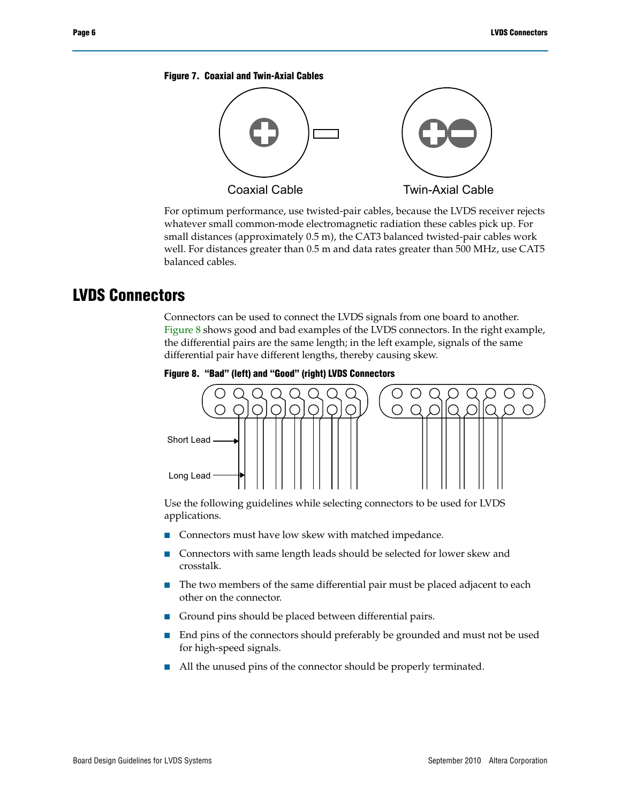#### <span id="page-5-0"></span>**Figure 7. Coaxial and Twin-Axial Cables**



For optimum performance, use twisted-pair cables, because the LVDS receiver rejects whatever small common-mode electromagnetic radiation these cables pick up. For small distances (approximately 0.5 m), the CAT3 balanced twisted-pair cables work well. For distances greater than 0.5 m and data rates greater than 500 MHz, use CAT5 balanced cables.

### **LVDS Connectors**

Connectors can be used to connect the LVDS signals from one board to another. [Figure 8](#page-5-1) shows good and bad examples of the LVDS connectors. In the right example, the differential pairs are the same length; in the left example, signals of the same differential pair have different lengths, thereby causing skew.

<span id="page-5-1"></span>



Use the following guidelines while selecting connectors to be used for LVDS applications.

- Connectors must have low skew with matched impedance.
- Connectors with same length leads should be selected for lower skew and crosstalk.
- The two members of the same differential pair must be placed adjacent to each other on the connector.
- Ground pins should be placed between differential pairs.
- End pins of the connectors should preferably be grounded and must not be used for high-speed signals.
- All the unused pins of the connector should be properly terminated.